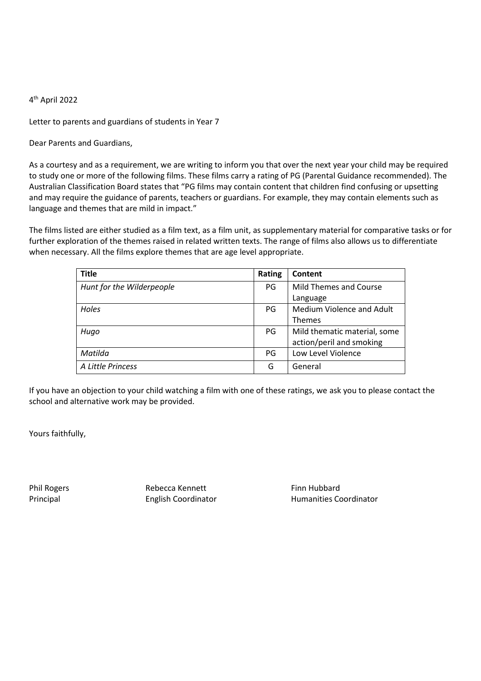Letter to parents and guardians of students in Year 7

Dear Parents and Guardians,

As a courtesy and as a requirement, we are writing to inform you that over the next year your child may be required to study one or more of the following films. These films carry a rating of PG (Parental Guidance recommended). The Australian Classification Board states that "PG films may contain content that children find confusing or upsetting and may require the guidance of parents, teachers or guardians. For example, they may contain elements such as language and themes that are mild in impact."

The films listed are either studied as a film text, as a film unit, as supplementary material for comparative tasks or for further exploration of the themes raised in related written texts. The range of films also allows us to differentiate when necessary. All the films explore themes that are age level appropriate.

| <b>Title</b>              | Rating | Content                      |
|---------------------------|--------|------------------------------|
| Hunt for the Wilderpeople | PG     | Mild Themes and Course       |
|                           |        | Language                     |
| Holes                     | PG     | Medium Violence and Adult    |
|                           |        | <b>Themes</b>                |
| Hugo                      | PG     | Mild thematic material, some |
|                           |        | action/peril and smoking     |
| Matilda                   | PG     | Low Level Violence           |
| A Little Princess         | G      | General                      |

If you have an objection to your child watching a film with one of these ratings, we ask you to please contact the school and alternative work may be provided.

Yours faithfully,

Phil Rogers **Rebecca Kennett** Finn Hubbard Finn Hubbard

Principal English Coordinator Humanities Coordinator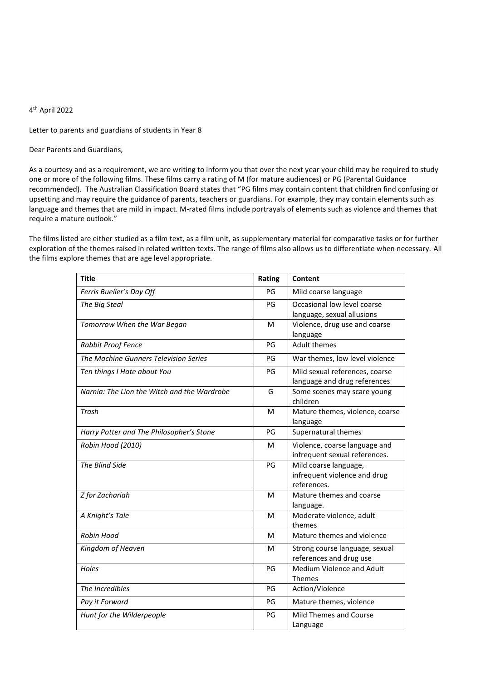Letter to parents and guardians of students in Year 8

Dear Parents and Guardians,

As a courtesy and as a requirement, we are writing to inform you that over the next year your child may be required to study one or more of the following films. These films carry a rating of M (for mature audiences) or PG (Parental Guidance recommended). The Australian Classification Board states that "PG films may contain content that children find confusing or upsetting and may require the guidance of parents, teachers or guardians. For example, they may contain elements such as language and themes that are mild in impact. M-rated films include portrayals of elements such as violence and themes that require a mature outlook."

The films listed are either studied as a film text, as a film unit, as supplementary material for comparative tasks or for further exploration of the themes raised in related written texts. The range of films also allows us to differentiate when necessary. All the films explore themes that are age level appropriate.

| <b>Title</b>                                | Rating | Content                                                              |
|---------------------------------------------|--------|----------------------------------------------------------------------|
| Ferris Bueller's Day Off                    | PG     | Mild coarse language                                                 |
| The Big Steal                               | PG     | Occasional low level coarse<br>language, sexual allusions            |
| Tomorrow When the War Began                 | м      | Violence, drug use and coarse<br>language                            |
| Rabbit Proof Fence                          | PG     | <b>Adult themes</b>                                                  |
| The Machine Gunners Television Series       | PG     | War themes, low level violence                                       |
| Ten things I Hate about You                 | PG     | Mild sexual references, coarse<br>language and drug references       |
| Narnia: The Lion the Witch and the Wardrobe | G      | Some scenes may scare young<br>children                              |
| Trash                                       | м      | Mature themes, violence, coarse<br>language                          |
| Harry Potter and The Philosopher's Stone    | PG     | Supernatural themes                                                  |
| Robin Hood (2010)                           | м      | Violence, coarse language and<br>infrequent sexual references.       |
| The Blind Side                              | PG     | Mild coarse language,<br>infrequent violence and drug<br>references. |
| Z for Zachariah                             | м      | Mature themes and coarse<br>language.                                |
| A Knight's Tale                             | м      | Moderate violence, adult<br>themes                                   |
| Robin Hood                                  | м      | Mature themes and violence                                           |
| Kingdom of Heaven                           | м      | Strong course language, sexual<br>references and drug use            |
| Holes                                       | PG     | Medium Violence and Adult<br>Themes                                  |
| The Incredibles                             | PG     | Action/Violence                                                      |
| Pay it Forward                              | PG     | Mature themes, violence                                              |
| Hunt for the Wilderpeople                   | PG     | Mild Themes and Course<br>Language                                   |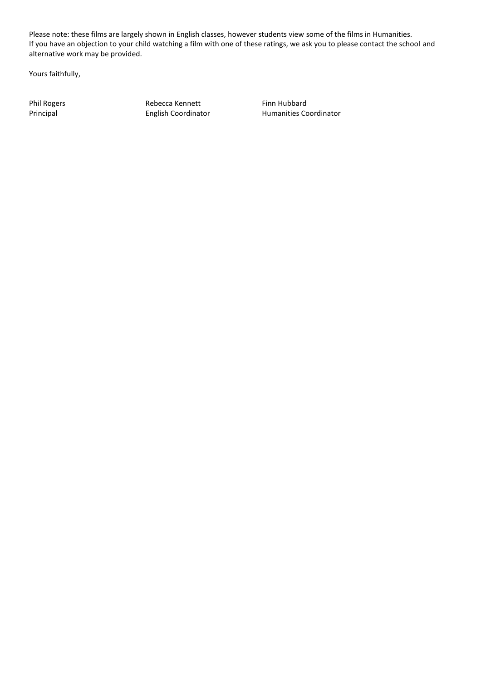Please note: these films are largely shown in English classes, however students view some of the films in Humanities. If you have an objection to your child watching a film with one of these ratings, we ask you to please contact the school and alternative work may be provided.

Yours faithfully,

Phil Rogers **Rebecca Kennett** Finn Hubbard Principal **Finn Hubbard** English Coordinator **Finn Humanities** Co

Humanities Coordinator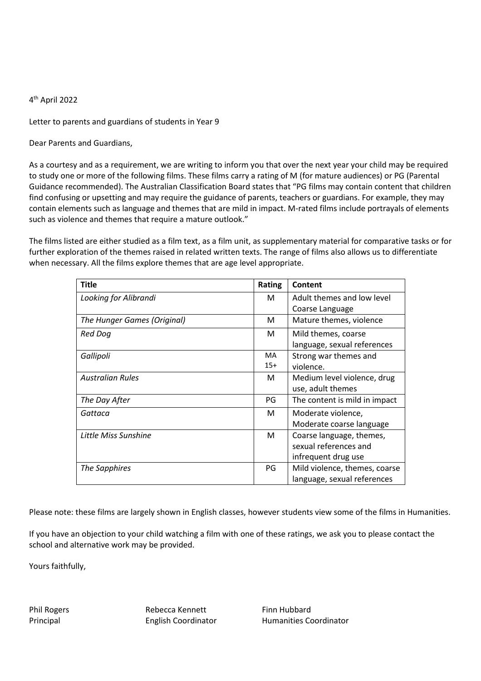Letter to parents and guardians of students in Year 9

Dear Parents and Guardians,

As a courtesy and as a requirement, we are writing to inform you that over the next year your child may be required to study one or more of the following films. These films carry a rating of M (for mature audiences) or PG (Parental Guidance recommended). The Australian Classification Board states that "PG films may contain content that children find confusing or upsetting and may require the guidance of parents, teachers or guardians. For example, they may contain elements such as language and themes that are mild in impact. M-rated films include portrayals of elements such as violence and themes that require a mature outlook."

The films listed are either studied as a film text, as a film unit, as supplementary material for comparative tasks or for further exploration of the themes raised in related written texts. The range of films also allows us to differentiate when necessary. All the films explore themes that are age level appropriate.

| <b>Title</b>                | Rating    | <b>Content</b>                |
|-----------------------------|-----------|-------------------------------|
| Looking for Alibrandi       | M         | Adult themes and low level    |
|                             |           | Coarse Language               |
| The Hunger Games (Original) | М         | Mature themes, violence       |
| Red Dog                     | M         | Mild themes, coarse           |
|                             |           | language, sexual references   |
| Gallipoli                   | <b>MA</b> | Strong war themes and         |
|                             | $15+$     | violence.                     |
| <b>Australian Rules</b>     | M         | Medium level violence, drug   |
|                             |           | use, adult themes             |
| The Day After               | PG        | The content is mild in impact |
| Gattaca                     | M         | Moderate violence,            |
|                             |           | Moderate coarse language      |
| Little Miss Sunshine        | M         | Coarse language, themes,      |
|                             |           | sexual references and         |
|                             |           | infrequent drug use           |
| The Sapphires               | PG        | Mild violence, themes, coarse |
|                             |           | language, sexual references   |

Please note: these films are largely shown in English classes, however students view some of the films in Humanities.

If you have an objection to your child watching a film with one of these ratings, we ask you to please contact the school and alternative work may be provided.

Yours faithfully,

Phil Rogers **Rebecca Kennett** Finn Hubbard

Principal **English Coordinator** Humanities Coordinator